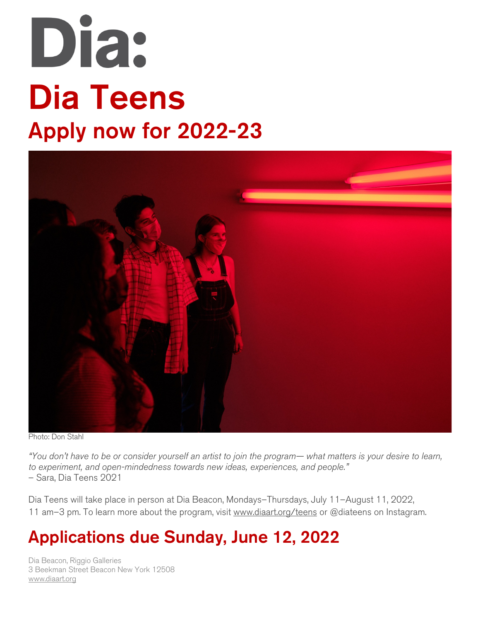# Dia: Dia Teens Apply now for 2022-23



Photo: Don Stahl

*"You don't have to be or consider yourself an artist to join the program— what matters is your desire to learn, to experiment, and open-mindedness towards new ideas, experiences, and people."*  – Sara, Dia Teens 2021

Dia Teens will take place in person at Dia Beacon, Mondays–Thursdays, July 11–August 11, 2022, 11 am–3 pm. To learn more about the program, visit www.diaart.org/teens or @diateens on Instagram.

# Applications due Sunday, June 12, 2022

Dia Beacon, Riggio Galleries 3 Beekman Street Beacon New York 12508 www.diaart.org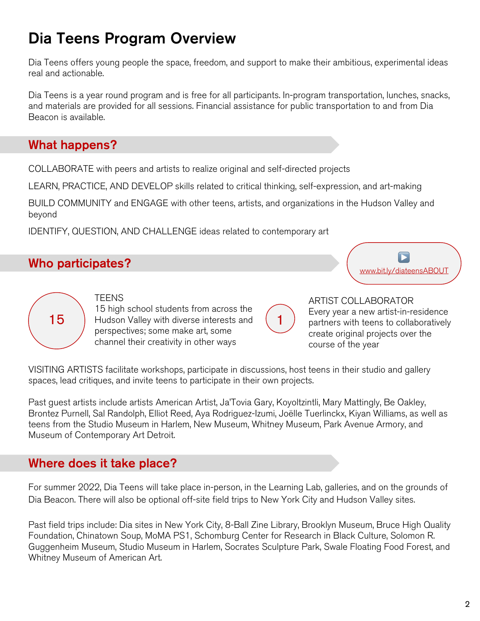# Dia Teens Program Overview

Dia Teens offers young people the space, freedom, and support to make their ambitious, experimental ideas real and actionable.

Dia Teens is a year round program and is free for all participants. In-program transportation, lunches, snacks, and materials are provided for all sessions. Financial assistance for public transportation to and from Dia Beacon is available.

### What happens?

COLLABORATE with peers and artists to realize original and self-directed projects

LEARN, PRACTICE, AND DEVELOP skills related to critical thinking, self-expression, and art-making

BUILD COMMUNITY and ENGAGE with other teens, artists, and organizations in the Hudson Valley and beyond

IDENTIFY, QUESTION, AND CHALLENGE ideas related to contemporary art

# Who participates?

▶ www.bit.ly/diateensABOUT



15 | Hudson Valley with diverse interests and (1 **TEENS** 15 high school students from across the perspectives; some make art, some channel their creativity in other ways

ARTIST COLLABORATOR Every year a new artist-in-residence partners with teens to collaboratively create original projects over the course of the year

VISITING ARTISTS facilitate workshops, participate in discussions, host teens in their studio and gallery spaces, lead critiques, and invite teens to participate in their own projects.

Past guest artists include artists American Artist, Ja'Tovia Gary, Koyoltzintli, Mary Mattingly, Be Oakley, Brontez Purnell, Sal Randolph, Elliot Reed, Aya Rodriguez-Izumi, Joëlle Tuerlinckx, Kiyan Williams, as well as teens from the Studio Museum in Harlem, New Museum, Whitney Museum, Park Avenue Armory, and Museum of Contemporary Art Detroit.

# Where does it take place?

For summer 2022, Dia Teens will take place in-person, in the Learning Lab, galleries, and on the grounds of Dia Beacon. There will also be optional off-site field trips to New York City and Hudson Valley sites.

Past field trips include: Dia sites in New York City, 8-Ball Zine Library, Brooklyn Museum, Bruce High Quality Foundation, Chinatown Soup, MoMA PS1, Schomburg Center for Research in Black Culture, Solomon R. Guggenheim Museum, Studio Museum in Harlem, Socrates Sculpture Park, Swale Floating Food Forest, and Whitney Museum of American Art.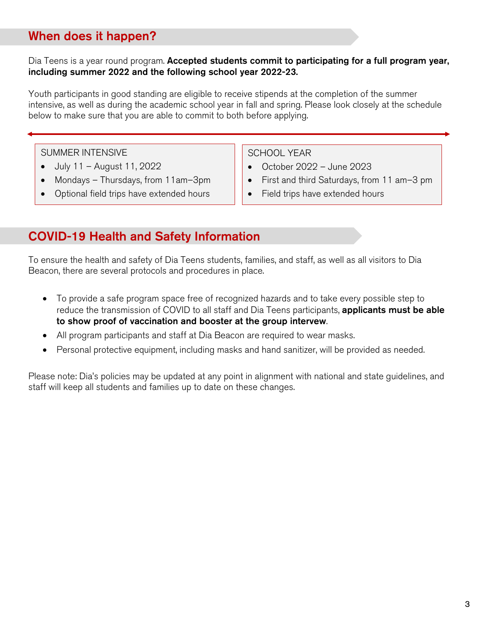# When does it happen?

#### Dia Teens is a year round program. Accepted students commit to participating for a full program year, including summer 2022 and the following school year 2022-23.

Youth participants in good standing are eligible to receive stipends at the completion of the summer intensive, as well as during the academic school year in fall and spring. Please look closely at the schedule below to make sure that you are able to commit to both before applying.

SUMMER INTENSIVE

- July 11 August 11, 2022
- Mondays Thursdays, from 11am–3pm
- Optional field trips have extended hours

SCHOOL YEAR

- October 2022 June 2023
- First and third Saturdays, from 11 am–3 pm
- Field trips have extended hours

# COVID-19 Health and Safety Information

To ensure the health and safety of Dia Teens students, families, and staff, as well as all visitors to Dia Beacon, there are several protocols and procedures in place.

- To provide a safe program space free of recognized hazards and to take every possible step to reduce the transmission of COVID to all staff and Dia Teens participants, applicants must be able to show proof of vaccination and booster at the group intervew.
- All program participants and staff at Dia Beacon are required to wear masks.
- Personal protective equipment, including masks and hand sanitizer, will be provided as needed.

Please note: Dia's policies may be updated at any point in alignment with national and state guidelines, and staff will keep all students and families up to date on these changes.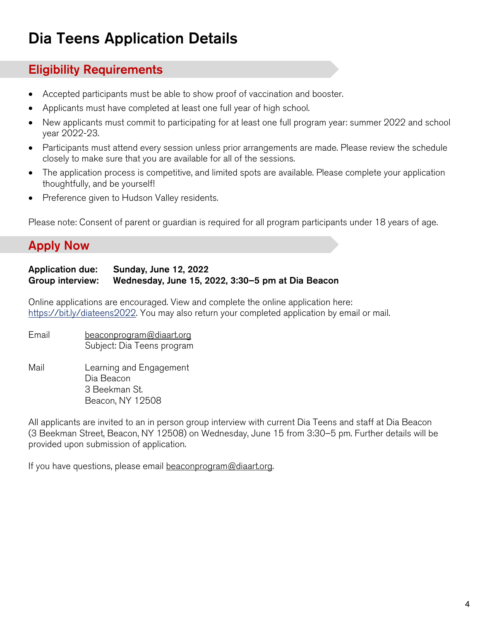# Dia Teens Application Details

#### Eligibility Requirements

- Accepted participants must be able to show proof of vaccination and booster.
- Applicants must have completed at least one full year of high school.
- New applicants must commit to participating for at least one full program year: summer 2022 and school year 2022-23.
- Participants must attend every session unless prior arrangements are made. Please review the schedule closely to make sure that you are available for all of the sessions.
- The application process is competitive, and limited spots are available. Please complete your application thoughtfully, and be yourself!
- Preference given to Hudson Valley residents.

Please note: Consent of parent or guardian is required for all program participants under 18 years of age.

# Apply Now

#### Application due: Sunday, June 12, 2022 Group interview: Wednesday, June 15, 2022, 3:30–5 pm at Dia Beacon

Online applications are encouraged. View and complete the online application here: https://bit.ly/diateens2022. You may also return your completed application by email or mail.

- Email beaconprogram@diaart.org Subject: Dia Teens program
- Mail Learning and Engagement Dia Beacon 3 Beekman St. Beacon, NY 12508

All applicants are invited to an in person group interview with current Dia Teens and staff at Dia Beacon (3 Beekman Street, Beacon, NY 12508) on Wednesday, June 15 from 3:30–5 pm. Further details will be provided upon submission of application.

If you have questions, please email beaconprogram@diaart.org.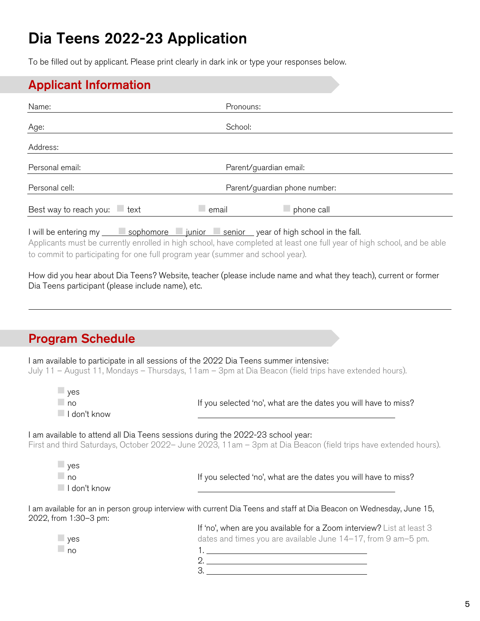# Dia Teens 2022-23 Application

To be filled out by applicant. Please print clearly in dark ink or type your responses below.

### Applicant Information

| Name:                                                                             | Pronouns:                     |                                                                                                                         |  |
|-----------------------------------------------------------------------------------|-------------------------------|-------------------------------------------------------------------------------------------------------------------------|--|
| Age:                                                                              | School:                       |                                                                                                                         |  |
| Address:                                                                          |                               |                                                                                                                         |  |
| Personal email:                                                                   | Parent/guardian email:        |                                                                                                                         |  |
| Personal cell:                                                                    | Parent/guardian phone number: |                                                                                                                         |  |
| Best way to reach you:<br>$-$ text                                                | email_                        | phone call                                                                                                              |  |
| I will be entering my sophomore in junior senior year of high school in the fall. |                               | Anglicante must be currently enralled in bigh school, boys completed at loset and tull year of bigh school, and he able |  |

Applicants must be currently enrolled in high school, have completed at least one full year of high school, and be able to commit to participating for one full program year (summer and school year).

How did you hear about Dia Teens? Website, teacher (please include name and what they teach), current or former Dia Teens participant (please include name), etc.

# Program Schedule

I am available to participate in all sessions of the 2022 Dia Teens summer intensive: July 11 – August 11, Mondays – Thursdays, 11am – 3pm at Dia Beacon (field trips have extended hours).

| $\Box$ yes<br>$\Box$ no<br>I don't know     | If you selected 'no', what are the dates you will have to miss?                                                                                                                                    |
|---------------------------------------------|----------------------------------------------------------------------------------------------------------------------------------------------------------------------------------------------------|
|                                             | I am available to attend all Dia Teens sessions during the 2022-23 school year:<br>First and third Saturdays, October 2022– June 2023, 11am – 3pm at Dia Beacon (field trips have extended hours). |
| $-$ yes<br>$\Box$ no<br>$\Box$ I don't know | If you selected 'no', what are the dates you will have to miss?                                                                                                                                    |
| 2022, from 1:30-3 pm:                       | l am available for an in person group interview with current Dia Teens and staff at Dia Beacon on Wednesday, June 15,                                                                              |
|                                             | If 'no', when are you available for a Zoom interview? List at least 3                                                                                                                              |
| $\Box$ yes                                  | dates and times you are available June 14-17, from 9 am-5 pm.                                                                                                                                      |
| $\Box$ no                                   |                                                                                                                                                                                                    |
|                                             |                                                                                                                                                                                                    |
|                                             |                                                                                                                                                                                                    |
|                                             |                                                                                                                                                                                                    |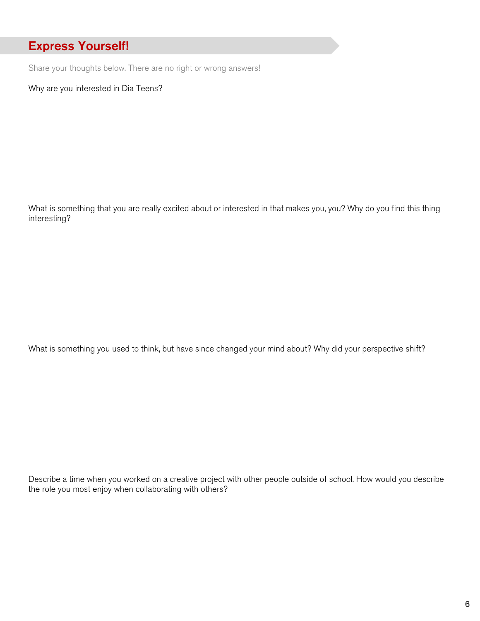# Express Yourself!

Share your thoughts below. There are no right or wrong answers!

Why are you interested in Dia Teens?

What is something that you are really excited about or interested in that makes you, you? Why do you find this thing interesting?

What is something you used to think, but have since changed your mind about? Why did your perspective shift?

Describe a time when you worked on a creative project with other people outside of school. How would you describe the role you most enjoy when collaborating with others?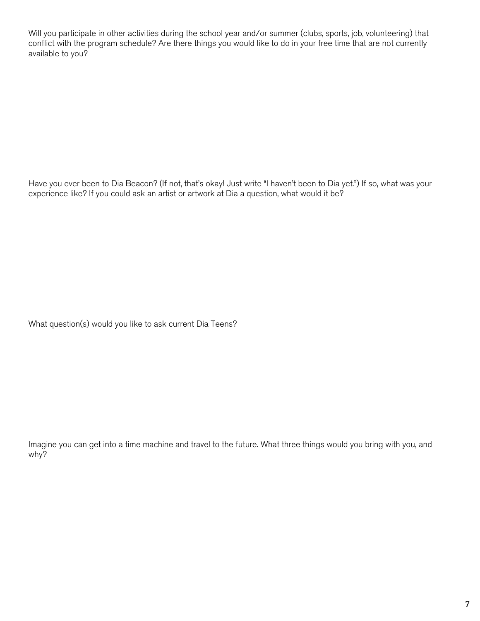Will you participate in other activities during the school year and/or summer (clubs, sports, job, volunteering) that conflict with the program schedule? Are there things you would like to do in your free time that are not currently available to you?

Have you ever been to Dia Beacon? (If not, that's okay! Just write "I haven't been to Dia yet.") If so, what was your experience like? If you could ask an artist or artwork at Dia a question, what would it be?

What question(s) would you like to ask current Dia Teens?

Imagine you can get into a time machine and travel to the future. What three things would you bring with you, and why?